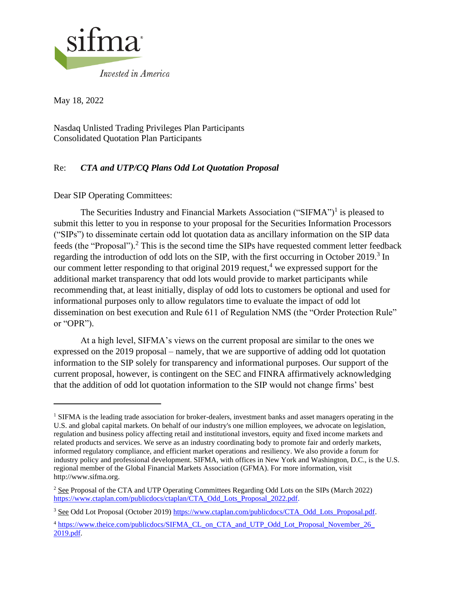

May 18, 2022

Nasdaq Unlisted Trading Privileges Plan Participants Consolidated Quotation Plan Participants

## Re: *CTA and UTP/CQ Plans Odd Lot Quotation Proposal*

Dear SIP Operating Committees:

The Securities Industry and Financial Markets Association ("SIFMA")<sup>1</sup> is pleased to submit this letter to you in response to your proposal for the Securities Information Processors ("SIPs") to disseminate certain odd lot quotation data as ancillary information on the SIP data feeds (the "Proposal").<sup>2</sup> This is the second time the SIPs have requested comment letter feedback regarding the introduction of odd lots on the SIP, with the first occurring in October 2019.<sup>3</sup> In our comment letter responding to that original 2019 request, <sup>4</sup> we expressed support for the additional market transparency that odd lots would provide to market participants while recommending that, at least initially, display of odd lots to customers be optional and used for informational purposes only to allow regulators time to evaluate the impact of odd lot dissemination on best execution and Rule 611 of Regulation NMS (the "Order Protection Rule" or "OPR").

At a high level, SIFMA's views on the current proposal are similar to the ones we expressed on the 2019 proposal – namely, that we are supportive of adding odd lot quotation information to the SIP solely for transparency and informational purposes. Our support of the current proposal, however, is contingent on the SEC and FINRA affirmatively acknowledging that the addition of odd lot quotation information to the SIP would not change firms' best

<sup>&</sup>lt;sup>1</sup> SIFMA is the leading trade association for broker-dealers, investment banks and asset managers operating in the U.S. and global capital markets. On behalf of our industry's one million employees, we advocate on legislation, regulation and business policy affecting retail and institutional investors, equity and fixed income markets and related products and services. We serve as an industry coordinating body to promote fair and orderly markets, informed regulatory compliance, and efficient market operations and resiliency. We also provide a forum for industry policy and professional development. SIFMA, with offices in New York and Washington, D.C., is the U.S. regional member of the Global Financial Markets Association (GFMA). For more information, visit http://www.sifma.org.

<sup>2</sup> See Proposal of the CTA and UTP Operating Committees Regarding Odd Lots on the SIPs (March 2022) [https://www.ctaplan.com/publicdocs/ctaplan/CTA\\_Odd\\_Lots\\_Proposal\\_2022.pdf.](https://www.ctaplan.com/publicdocs/ctaplan/CTA_Odd_Lots_Proposal_2022.pdf)

<sup>&</sup>lt;sup>3</sup> See Odd Lot Proposal (October 2019) [https://www.ctaplan.com/publicdocs/CTA\\_Odd\\_Lots\\_Proposal.pdf.](https://www.ctaplan.com/publicdocs/CTA_Odd_Lots_Proposal.pdf)

<sup>&</sup>lt;sup>4</sup> [https://www.theice.com/publicdocs/SIFMA\\_CL\\_on\\_CTA\\_and\\_UTP\\_Odd\\_Lot\\_Proposal\\_November\\_26\\_](https://www.theice.com/publicdocs/SIFMA_CL_on_CTA_and_UTP_Odd_Lot_Proposal_November_26_2019.pdf) [2019.pdf.](https://www.theice.com/publicdocs/SIFMA_CL_on_CTA_and_UTP_Odd_Lot_Proposal_November_26_2019.pdf)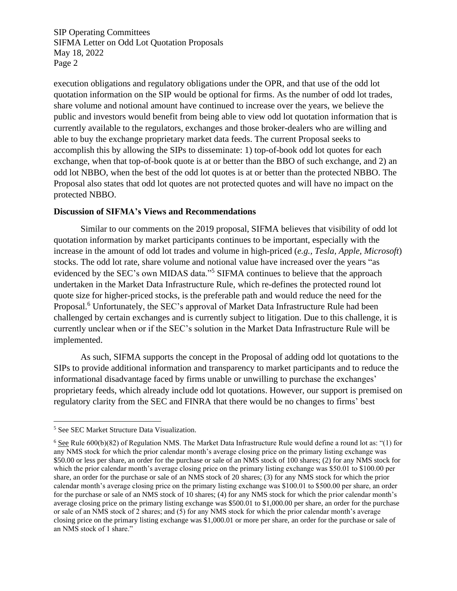SIP Operating Committees SIFMA Letter on Odd Lot Quotation Proposals May 18, 2022 Page 2

execution obligations and regulatory obligations under the OPR, and that use of the odd lot quotation information on the SIP would be optional for firms. As the number of odd lot trades, share volume and notional amount have continued to increase over the years, we believe the public and investors would benefit from being able to view odd lot quotation information that is currently available to the regulators, exchanges and those broker-dealers who are willing and able to buy the exchange proprietary market data feeds. The current Proposal seeks to accomplish this by allowing the SIPs to disseminate: 1) top-of-book odd lot quotes for each exchange, when that top-of-book quote is at or better than the BBO of such exchange, and 2) an odd lot NBBO, when the best of the odd lot quotes is at or better than the protected NBBO. The Proposal also states that odd lot quotes are not protected quotes and will have no impact on the protected NBBO.

## **Discussion of SIFMA's Views and Recommendations**

Similar to our comments on the 2019 proposal, SIFMA believes that visibility of odd lot quotation information by market participants continues to be important, especially with the increase in the amount of odd lot trades and volume in high-priced (*e.g., Tesla, Apple, Microsoft*) stocks. The odd lot rate, share volume and notional value have increased over the years "as evidenced by the SEC's own MIDAS data."<sup>5</sup> SIFMA continues to believe that the approach undertaken in the Market Data Infrastructure Rule, which re-defines the protected round lot quote size for higher-priced stocks, is the preferable path and would reduce the need for the Proposal.<sup>6</sup> Unfortunately, the SEC's approval of Market Data Infrastructure Rule had been challenged by certain exchanges and is currently subject to litigation. Due to this challenge, it is currently unclear when or if the SEC's solution in the Market Data Infrastructure Rule will be implemented.

As such, SIFMA supports the concept in the Proposal of adding odd lot quotations to the SIPs to provide additional information and transparency to market participants and to reduce the informational disadvantage faced by firms unable or unwilling to purchase the exchanges' proprietary feeds, which already include odd lot quotations. However, our support is premised on regulatory clarity from the SEC and FINRA that there would be no changes to firms' best

<sup>5</sup> See SEC Market Structure Data Visualization.

<sup>6</sup> See Rule 600(b)(82) of Regulation NMS. The Market Data Infrastructure Rule would define a round lot as: "(1) for any NMS stock for which the prior calendar month's average closing price on the primary listing exchange was \$50.00 or less per share, an order for the purchase or sale of an NMS stock of 100 shares; (2) for any NMS stock for which the prior calendar month's average closing price on the primary listing exchange was \$50.01 to \$100.00 per share, an order for the purchase or sale of an NMS stock of 20 shares; (3) for any NMS stock for which the prior calendar month's average closing price on the primary listing exchange was \$100.01 to \$500.00 per share, an order for the purchase or sale of an NMS stock of 10 shares; (4) for any NMS stock for which the prior calendar month's average closing price on the primary listing exchange was \$500.01 to \$1,000.00 per share, an order for the purchase or sale of an NMS stock of 2 shares; and (5) for any NMS stock for which the prior calendar month's average closing price on the primary listing exchange was \$1,000.01 or more per share, an order for the purchase or sale of an NMS stock of 1 share."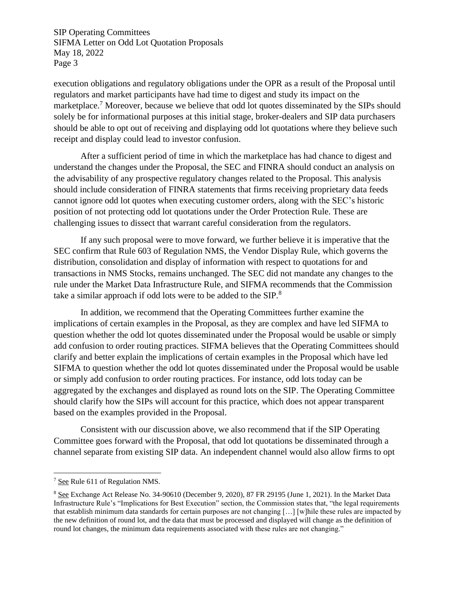SIP Operating Committees SIFMA Letter on Odd Lot Quotation Proposals May 18, 2022 Page 3

execution obligations and regulatory obligations under the OPR as a result of the Proposal until regulators and market participants have had time to digest and study its impact on the marketplace.<sup>7</sup> Moreover, because we believe that odd lot quotes disseminated by the SIPs should solely be for informational purposes at this initial stage, broker-dealers and SIP data purchasers should be able to opt out of receiving and displaying odd lot quotations where they believe such receipt and display could lead to investor confusion.

After a sufficient period of time in which the marketplace has had chance to digest and understand the changes under the Proposal, the SEC and FINRA should conduct an analysis on the advisability of any prospective regulatory changes related to the Proposal. This analysis should include consideration of FINRA statements that firms receiving proprietary data feeds cannot ignore odd lot quotes when executing customer orders, along with the SEC's historic position of not protecting odd lot quotations under the Order Protection Rule. These are challenging issues to dissect that warrant careful consideration from the regulators.

If any such proposal were to move forward, we further believe it is imperative that the SEC confirm that Rule 603 of Regulation NMS, the Vendor Display Rule, which governs the distribution, consolidation and display of information with respect to quotations for and transactions in NMS Stocks, remains unchanged. The SEC did not mandate any changes to the rule under the Market Data Infrastructure Rule, and SIFMA recommends that the Commission take a similar approach if odd lots were to be added to the  $SIP$ .<sup>8</sup>

In addition, we recommend that the Operating Committees further examine the implications of certain examples in the Proposal, as they are complex and have led SIFMA to question whether the odd lot quotes disseminated under the Proposal would be usable or simply add confusion to order routing practices. SIFMA believes that the Operating Committees should clarify and better explain the implications of certain examples in the Proposal which have led SIFMA to question whether the odd lot quotes disseminated under the Proposal would be usable or simply add confusion to order routing practices. For instance, odd lots today can be aggregated by the exchanges and displayed as round lots on the SIP. The Operating Committee should clarify how the SIPs will account for this practice, which does not appear transparent based on the examples provided in the Proposal.

Consistent with our discussion above, we also recommend that if the SIP Operating Committee goes forward with the Proposal, that odd lot quotations be disseminated through a channel separate from existing SIP data. An independent channel would also allow firms to opt

<sup>7</sup> See Rule 611 of Regulation NMS.

<sup>8</sup> See Exchange Act Release No. 34-90610 (December 9, 2020), 87 FR 29195 (June 1, 2021). In the Market Data Infrastructure Rule's "Implications for Best Execution" section, the Commission states that, "the legal requirements that establish minimum data standards for certain purposes are not changing […] [w]hile these rules are impacted by the new definition of round lot, and the data that must be processed and displayed will change as the definition of round lot changes, the minimum data requirements associated with these rules are not changing."